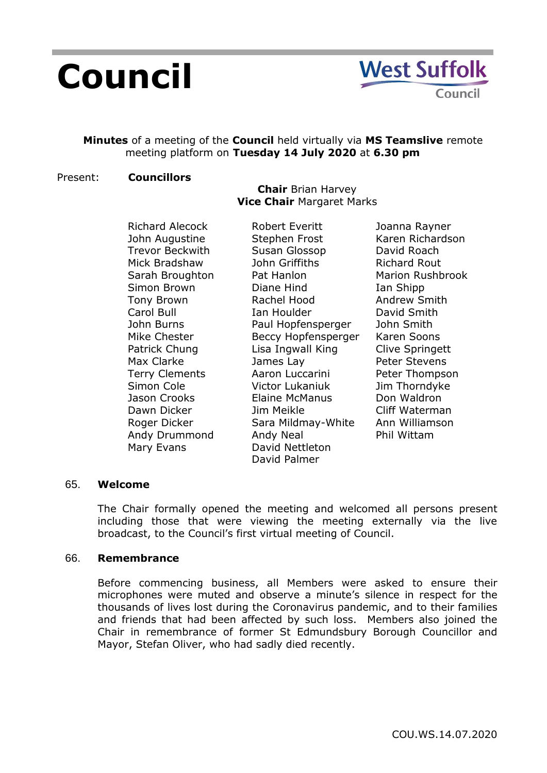# **Council**

# **Minutes** of a meeting of the **Council** held virtually via **MS Teamslive** remote meeting platform on **Tuesday 14 July 2020** at **6.30 pm**

## Present: **Councillors**

## **Chair** Brian Harvey **Vice Chair** Margaret Marks

Richard Alecock John Augustine Trevor Beckwith Mick Bradshaw Sarah Broughton Simon Brown Tony Brown Carol Bull John Burns Mike Chester Patrick Chung Max Clarke Terry Clements Simon Cole Jason Crooks Dawn Dicker Roger Dicker Andy Drummond Mary Evans

Robert Everitt Stephen Frost Susan Glossop John Griffiths Pat Hanlon Diane Hind Rachel Hood Ian Houlder Paul Hopfensperger Beccy Hopfensperger Lisa Ingwall King James Lay Aaron Luccarini Victor Lukaniuk Elaine McManus Jim Meikle Sara Mildmay-White Andy Neal David Nettleton David Palmer

Joanna Rayner Karen Richardson David Roach Richard Rout Marion Rushbrook Ian Shipp Andrew Smith David Smith John Smith Karen Soons Clive Springett Peter Stevens Peter Thompson Jim Thorndyke Don Waldron Cliff Waterman Ann Williamson Phil Wittam

## 65. **Welcome**

The Chair formally opened the meeting and welcomed all persons present including those that were viewing the meeting externally via the live broadcast, to the Council's first virtual meeting of Council.

## 66. **Remembrance**

Before commencing business, all Members were asked to ensure their microphones were muted and observe a minute's silence in respect for the thousands of lives lost during the Coronavirus pandemic, and to their families and friends that had been affected by such loss. Members also joined the Chair in remembrance of former St Edmundsbury Borough Councillor and Mayor, Stefan Oliver, who had sadly died recently.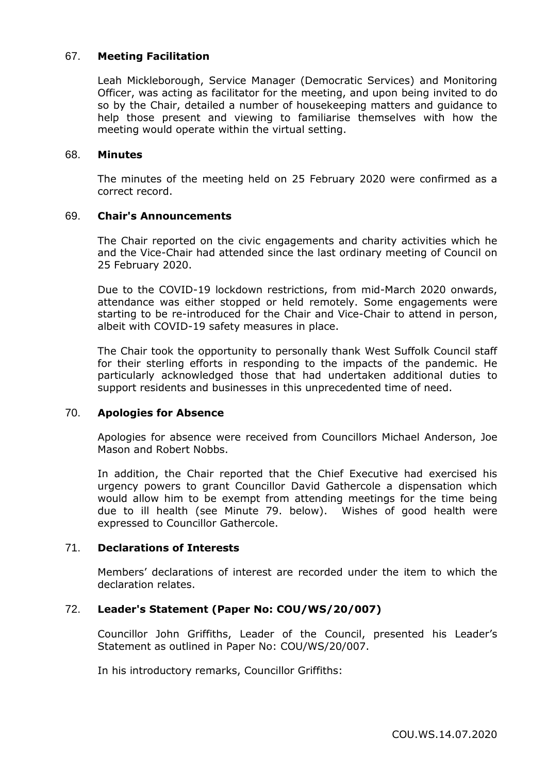## 67. **Meeting Facilitation**

Leah Mickleborough, Service Manager (Democratic Services) and Monitoring Officer, was acting as facilitator for the meeting, and upon being invited to do so by the Chair, detailed a number of housekeeping matters and guidance to help those present and viewing to familiarise themselves with how the meeting would operate within the virtual setting.

#### 68. **Minutes**

The minutes of the meeting held on 25 February 2020 were confirmed as a correct record.

## 69. **Chair's Announcements**

The Chair reported on the civic engagements and charity activities which he and the Vice-Chair had attended since the last ordinary meeting of Council on 25 February 2020.

Due to the COVID-19 lockdown restrictions, from mid-March 2020 onwards, attendance was either stopped or held remotely. Some engagements were starting to be re-introduced for the Chair and Vice-Chair to attend in person, albeit with COVID-19 safety measures in place.

The Chair took the opportunity to personally thank West Suffolk Council staff for their sterling efforts in responding to the impacts of the pandemic. He particularly acknowledged those that had undertaken additional duties to support residents and businesses in this unprecedented time of need.

## 70. **Apologies for Absence**

Apologies for absence were received from Councillors Michael Anderson, Joe Mason and Robert Nobbs.

In addition, the Chair reported that the Chief Executive had exercised his urgency powers to grant Councillor David Gathercole a dispensation which would allow him to be exempt from attending meetings for the time being due to ill health (see Minute 79. below). Wishes of good health were expressed to Councillor Gathercole.

## 71. **Declarations of Interests**

Members' declarations of interest are recorded under the item to which the declaration relates.

## 72. **Leader's Statement (Paper No: COU/WS/20/007)**

Councillor John Griffiths, Leader of the Council, presented his Leader's Statement as outlined in Paper No: COU/WS/20/007.

In his introductory remarks, Councillor Griffiths: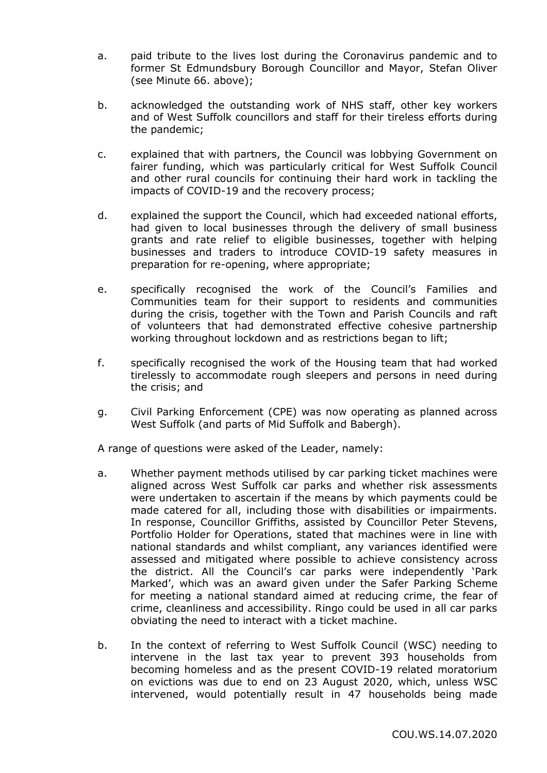- a. paid tribute to the lives lost during the Coronavirus pandemic and to former St Edmundsbury Borough Councillor and Mayor, Stefan Oliver (see Minute 66. above);
- b. acknowledged the outstanding work of NHS staff, other key workers and of West Suffolk councillors and staff for their tireless efforts during the pandemic;
- c. explained that with partners, the Council was lobbying Government on fairer funding, which was particularly critical for West Suffolk Council and other rural councils for continuing their hard work in tackling the impacts of COVID-19 and the recovery process;
- d. explained the support the Council, which had exceeded national efforts, had given to local businesses through the delivery of small business grants and rate relief to eligible businesses, together with helping businesses and traders to introduce COVID-19 safety measures in preparation for re-opening, where appropriate;
- e. specifically recognised the work of the Council's Families and Communities team for their support to residents and communities during the crisis, together with the Town and Parish Councils and raft of volunteers that had demonstrated effective cohesive partnership working throughout lockdown and as restrictions began to lift;
- f. specifically recognised the work of the Housing team that had worked tirelessly to accommodate rough sleepers and persons in need during the crisis; and
- g. Civil Parking Enforcement (CPE) was now operating as planned across West Suffolk (and parts of Mid Suffolk and Babergh).

A range of questions were asked of the Leader, namely:

- a. Whether payment methods utilised by car parking ticket machines were aligned across West Suffolk car parks and whether risk assessments were undertaken to ascertain if the means by which payments could be made catered for all, including those with disabilities or impairments. In response, Councillor Griffiths, assisted by Councillor Peter Stevens, Portfolio Holder for Operations, stated that machines were in line with national standards and whilst compliant, any variances identified were assessed and mitigated where possible to achieve consistency across the district. All the Council's car parks were independently 'Park Marked', which was an award given under the Safer Parking Scheme for meeting a national standard aimed at reducing crime, the fear of crime, cleanliness and accessibility. Ringo could be used in all car parks obviating the need to interact with a ticket machine.
- b. In the context of referring to West Suffolk Council (WSC) needing to intervene in the last tax year to prevent 393 households from becoming homeless and as the present COVID-19 related moratorium on evictions was due to end on 23 August 2020, which, unless WSC intervened, would potentially result in 47 households being made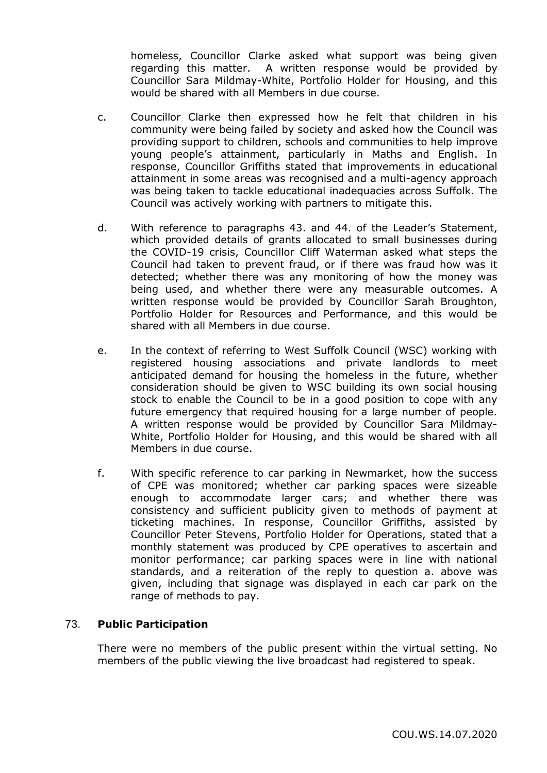homeless, Councillor Clarke asked what support was being given regarding this matter. A written response would be provided by Councillor Sara Mildmay-White, Portfolio Holder for Housing, and this would be shared with all Members in due course.

- c. Councillor Clarke then expressed how he felt that children in his community were being failed by society and asked how the Council was providing support to children, schools and communities to help improve young people's attainment, particularly in Maths and English. In response, Councillor Griffiths stated that improvements in educational attainment in some areas was recognised and a multi-agency approach was being taken to tackle educational inadequacies across Suffolk. The Council was actively working with partners to mitigate this.
- d. With reference to paragraphs 43. and 44. of the Leader's Statement, which provided details of grants allocated to small businesses during the COVID-19 crisis, Councillor Cliff Waterman asked what steps the Council had taken to prevent fraud, or if there was fraud how was it detected; whether there was any monitoring of how the money was being used, and whether there were any measurable outcomes. A written response would be provided by Councillor Sarah Broughton, Portfolio Holder for Resources and Performance, and this would be shared with all Members in due course.
- e. In the context of referring to West Suffolk Council (WSC) working with registered housing associations and private landlords to meet anticipated demand for housing the homeless in the future, whether consideration should be given to WSC building its own social housing stock to enable the Council to be in a good position to cope with any future emergency that required housing for a large number of people. A written response would be provided by Councillor Sara Mildmay-White, Portfolio Holder for Housing, and this would be shared with all Members in due course.
- f. With specific reference to car parking in Newmarket, how the success of CPE was monitored; whether car parking spaces were sizeable enough to accommodate larger cars; and whether there was consistency and sufficient publicity given to methods of payment at ticketing machines. In response, Councillor Griffiths, assisted by Councillor Peter Stevens, Portfolio Holder for Operations, stated that a monthly statement was produced by CPE operatives to ascertain and monitor performance; car parking spaces were in line with national standards, and a reiteration of the reply to question a. above was given, including that signage was displayed in each car park on the range of methods to pay.

# 73. **Public Participation**

There were no members of the public present within the virtual setting. No members of the public viewing the live broadcast had registered to speak.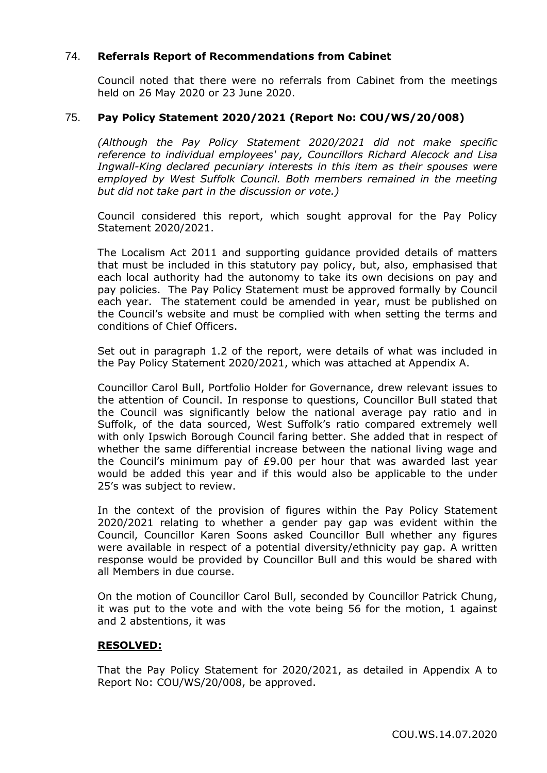## 74. **Referrals Report of Recommendations from Cabinet**

Council noted that there were no referrals from Cabinet from the meetings held on 26 May 2020 or 23 June 2020.

## 75. **Pay Policy Statement 2020/2021 (Report No: COU/WS/20/008)**

*(Although the Pay Policy Statement 2020/2021 did not make specific reference to individual employees' pay, Councillors Richard Alecock and Lisa Ingwall-King declared pecuniary interests in this item as their spouses were employed by West Suffolk Council. Both members remained in the meeting but did not take part in the discussion or vote.)*

Council considered this report, which sought approval for the Pay Policy Statement 2020/2021.

The Localism Act 2011 and supporting guidance provided details of matters that must be included in this statutory pay policy, but, also, emphasised that each local authority had the autonomy to take its own decisions on pay and pay policies. The Pay Policy Statement must be approved formally by Council each year. The statement could be amended in year, must be published on the Council's website and must be complied with when setting the terms and conditions of Chief Officers.

Set out in paragraph 1.2 of the report, were details of what was included in the Pay Policy Statement 2020/2021, which was attached at Appendix A.

Councillor Carol Bull, Portfolio Holder for Governance, drew relevant issues to the attention of Council. In response to questions, Councillor Bull stated that the Council was significantly below the national average pay ratio and in Suffolk, of the data sourced, West Suffolk's ratio compared extremely well with only Ipswich Borough Council faring better. She added that in respect of whether the same differential increase between the national living wage and the Council's minimum pay of £9.00 per hour that was awarded last year would be added this year and if this would also be applicable to the under 25's was subject to review.

In the context of the provision of figures within the Pay Policy Statement 2020/2021 relating to whether a gender pay gap was evident within the Council, Councillor Karen Soons asked Councillor Bull whether any figures were available in respect of a potential diversity/ethnicity pay gap. A written response would be provided by Councillor Bull and this would be shared with all Members in due course.

On the motion of Councillor Carol Bull, seconded by Councillor Patrick Chung, it was put to the vote and with the vote being 56 for the motion, 1 against and 2 abstentions, it was

## **RESOLVED:**

That the Pay Policy Statement for 2020/2021, as detailed in Appendix A to Report No: COU/WS/20/008, be approved.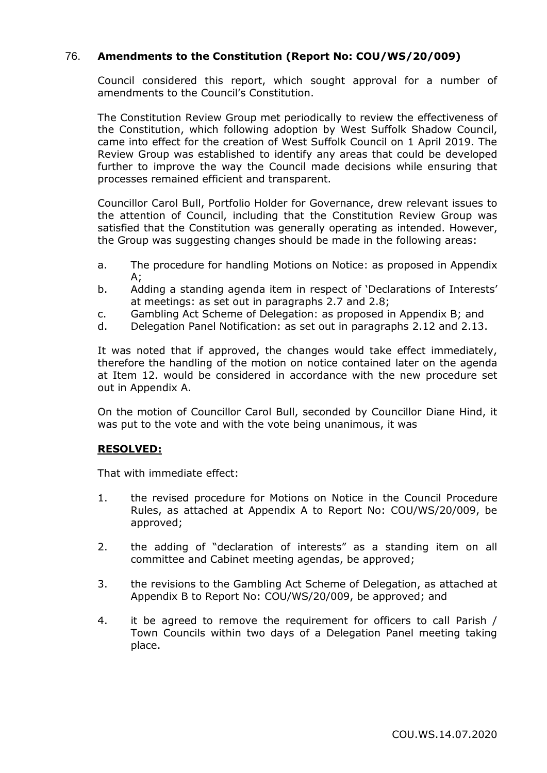# 76. **Amendments to the Constitution (Report No: COU/WS/20/009)**

Council considered this report, which sought approval for a number of amendments to the Council's Constitution.

The Constitution Review Group met periodically to review the effectiveness of the Constitution, which following adoption by West Suffolk Shadow Council, came into effect for the creation of West Suffolk Council on 1 April 2019. The Review Group was established to identify any areas that could be developed further to improve the way the Council made decisions while ensuring that processes remained efficient and transparent.

Councillor Carol Bull, Portfolio Holder for Governance, drew relevant issues to the attention of Council, including that the Constitution Review Group was satisfied that the Constitution was generally operating as intended. However, the Group was suggesting changes should be made in the following areas:

- a. The procedure for handling Motions on Notice: as proposed in Appendix  $A$ :
- b. Adding a standing agenda item in respect of 'Declarations of Interests' at meetings: as set out in paragraphs 2.7 and 2.8;
- c. Gambling Act Scheme of Delegation: as proposed in Appendix B; and
- d. Delegation Panel Notification: as set out in paragraphs 2.12 and 2.13.

It was noted that if approved, the changes would take effect immediately, therefore the handling of the motion on notice contained later on the agenda at Item 12. would be considered in accordance with the new procedure set out in Appendix A.

On the motion of Councillor Carol Bull, seconded by Councillor Diane Hind, it was put to the vote and with the vote being unanimous, it was

## **RESOLVED:**

That with immediate effect:

- 1. the revised procedure for Motions on Notice in the Council Procedure Rules, as attached at Appendix A to Report No: COU/WS/20/009, be approved;
- 2. the adding of "declaration of interests" as a standing item on all committee and Cabinet meeting agendas, be approved;
- 3. the revisions to the Gambling Act Scheme of Delegation, as attached at Appendix B to Report No: COU/WS/20/009, be approved; and
- 4. it be agreed to remove the requirement for officers to call Parish / Town Councils within two days of a Delegation Panel meeting taking place.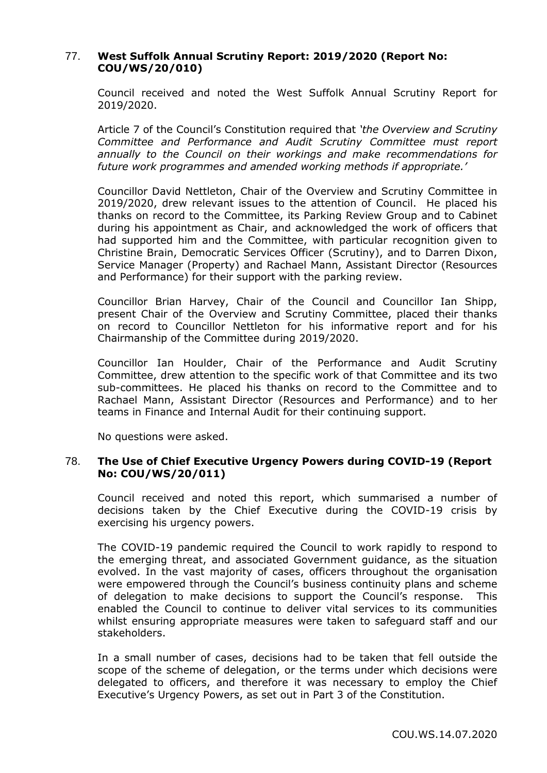# 77. **West Suffolk Annual Scrutiny Report: 2019/2020 (Report No: COU/WS/20/010)**

Council received and noted the West Suffolk Annual Scrutiny Report for 2019/2020.

Article 7 of the Council's Constitution required that *'the Overview and Scrutiny Committee and Performance and Audit Scrutiny Committee must report annually to the Council on their workings and make recommendations for future work programmes and amended working methods if appropriate.'*

Councillor David Nettleton, Chair of the Overview and Scrutiny Committee in 2019/2020, drew relevant issues to the attention of Council. He placed his thanks on record to the Committee, its Parking Review Group and to Cabinet during his appointment as Chair, and acknowledged the work of officers that had supported him and the Committee, with particular recognition given to Christine Brain, Democratic Services Officer (Scrutiny), and to Darren Dixon, Service Manager (Property) and Rachael Mann, Assistant Director (Resources and Performance) for their support with the parking review.

Councillor Brian Harvey, Chair of the Council and Councillor Ian Shipp, present Chair of the Overview and Scrutiny Committee, placed their thanks on record to Councillor Nettleton for his informative report and for his Chairmanship of the Committee during 2019/2020.

Councillor Ian Houlder, Chair of the Performance and Audit Scrutiny Committee, drew attention to the specific work of that Committee and its two sub-committees. He placed his thanks on record to the Committee and to Rachael Mann, Assistant Director (Resources and Performance) and to her teams in Finance and Internal Audit for their continuing support.

No questions were asked.

## 78. **The Use of Chief Executive Urgency Powers during COVID-19 (Report No: COU/WS/20/011)**

Council received and noted this report, which summarised a number of decisions taken by the Chief Executive during the COVID-19 crisis by exercising his urgency powers.

The COVID-19 pandemic required the Council to work rapidly to respond to the emerging threat, and associated Government guidance, as the situation evolved. In the vast majority of cases, officers throughout the organisation were empowered through the Council's business continuity plans and scheme of delegation to make decisions to support the Council's response. This enabled the Council to continue to deliver vital services to its communities whilst ensuring appropriate measures were taken to safeguard staff and our stakeholders.

In a small number of cases, decisions had to be taken that fell outside the scope of the scheme of delegation, or the terms under which decisions were delegated to officers, and therefore it was necessary to employ the Chief Executive's Urgency Powers, as set out in Part 3 of the Constitution.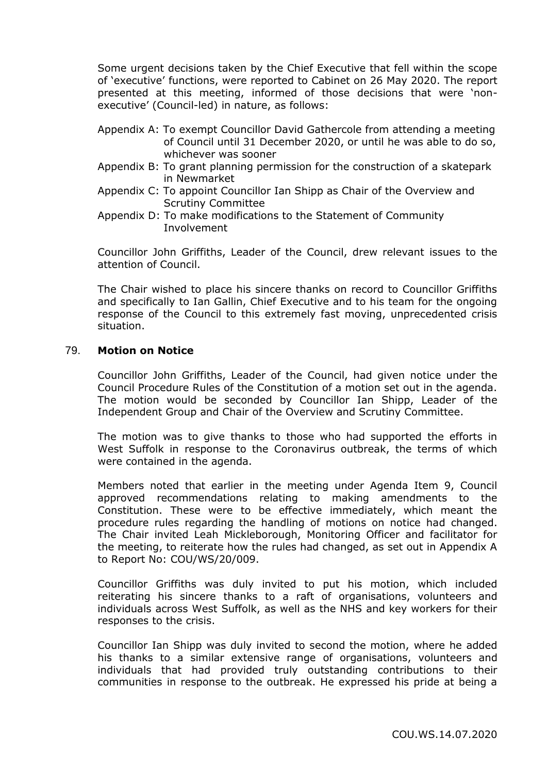Some urgent decisions taken by the Chief Executive that fell within the scope of 'executive' functions, were reported to Cabinet on 26 May 2020. The report presented at this meeting, informed of those decisions that were 'nonexecutive' (Council-led) in nature, as follows:

- Appendix A: To exempt Councillor David Gathercole from attending a meeting of Council until 31 December 2020, or until he was able to do so, whichever was sooner
- Appendix B: To grant planning permission for the construction of a skatepark in Newmarket
- Appendix C: To appoint Councillor Ian Shipp as Chair of the Overview and Scrutiny Committee
- Appendix D: To make modifications to the Statement of Community Involvement

Councillor John Griffiths, Leader of the Council, drew relevant issues to the attention of Council.

The Chair wished to place his sincere thanks on record to Councillor Griffiths and specifically to Ian Gallin, Chief Executive and to his team for the ongoing response of the Council to this extremely fast moving, unprecedented crisis situation.

## 79. **Motion on Notice**

Councillor John Griffiths, Leader of the Council, had given notice under the Council Procedure Rules of the Constitution of a motion set out in the agenda. The motion would be seconded by Councillor Ian Shipp, Leader of the Independent Group and Chair of the Overview and Scrutiny Committee.

The motion was to give thanks to those who had supported the efforts in West Suffolk in response to the Coronavirus outbreak, the terms of which were contained in the agenda.

Members noted that earlier in the meeting under Agenda Item 9, Council approved recommendations relating to making amendments to the Constitution. These were to be effective immediately, which meant the procedure rules regarding the handling of motions on notice had changed. The Chair invited Leah Mickleborough, Monitoring Officer and facilitator for the meeting, to reiterate how the rules had changed, as set out in Appendix A to Report No: COU/WS/20/009.

Councillor Griffiths was duly invited to put his motion, which included reiterating his sincere thanks to a raft of organisations, volunteers and individuals across West Suffolk, as well as the NHS and key workers for their responses to the crisis.

Councillor Ian Shipp was duly invited to second the motion, where he added his thanks to a similar extensive range of organisations, volunteers and individuals that had provided truly outstanding contributions to their communities in response to the outbreak. He expressed his pride at being a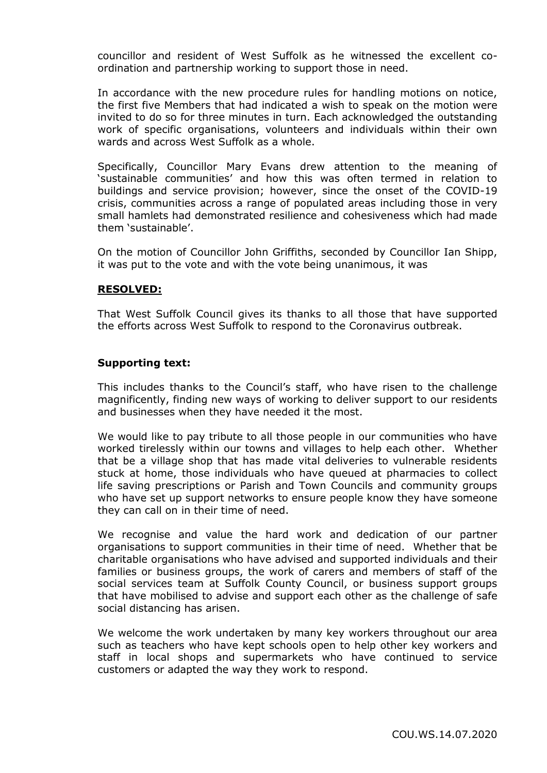councillor and resident of West Suffolk as he witnessed the excellent coordination and partnership working to support those in need.

In accordance with the new procedure rules for handling motions on notice, the first five Members that had indicated a wish to speak on the motion were invited to do so for three minutes in turn. Each acknowledged the outstanding work of specific organisations, volunteers and individuals within their own wards and across West Suffolk as a whole.

Specifically, Councillor Mary Evans drew attention to the meaning of 'sustainable communities' and how this was often termed in relation to buildings and service provision; however, since the onset of the COVID-19 crisis, communities across a range of populated areas including those in very small hamlets had demonstrated resilience and cohesiveness which had made them 'sustainable'.

On the motion of Councillor John Griffiths, seconded by Councillor Ian Shipp, it was put to the vote and with the vote being unanimous, it was

## **RESOLVED:**

That West Suffolk Council gives its thanks to all those that have supported the efforts across West Suffolk to respond to the Coronavirus outbreak.

#### **Supporting text:**

This includes thanks to the Council's staff, who have risen to the challenge magnificently, finding new ways of working to deliver support to our residents and businesses when they have needed it the most.

We would like to pay tribute to all those people in our communities who have worked tirelessly within our towns and villages to help each other. Whether that be a village shop that has made vital deliveries to vulnerable residents stuck at home, those individuals who have queued at pharmacies to collect life saving prescriptions or Parish and Town Councils and community groups who have set up support networks to ensure people know they have someone they can call on in their time of need.

We recognise and value the hard work and dedication of our partner organisations to support communities in their time of need. Whether that be charitable organisations who have advised and supported individuals and their families or business groups, the work of carers and members of staff of the social services team at Suffolk County Council, or business support groups that have mobilised to advise and support each other as the challenge of safe social distancing has arisen.

We welcome the work undertaken by many key workers throughout our area such as teachers who have kept schools open to help other key workers and staff in local shops and supermarkets who have continued to service customers or adapted the way they work to respond.